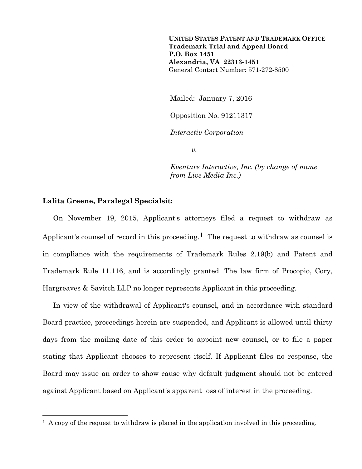**UNITED STATES PATENT AND TRADEMARK OFFICE Trademark Trial and Appeal Board P.O. Box 1451 Alexandria, VA 22313-1451**  General Contact Number: 571-272-8500

Mailed: January 7, 2016

Opposition No. 91211317

*Interactiv Corporation* 

*v.* 

*Eventure Interactive, Inc. (by change of name from Live Media Inc.)* 

## **Lalita Greene, Paralegal Specialsit:**

 $\overline{a}$ 

On November 19, 2015, Applicant's attorneys filed a request to withdraw as Applicant's counsel of record in this proceeding.<sup>1</sup> The request to withdraw as counsel is in compliance with the requirements of Trademark Rules 2.19(b) and Patent and Trademark Rule 11.116, and is accordingly granted. The law firm of Procopio, Cory, Hargreaves & Savitch LLP no longer represents Applicant in this proceeding.

In view of the withdrawal of Applicant's counsel, and in accordance with standard Board practice, proceedings herein are suspended, and Applicant is allowed until thirty days from the mailing date of this order to appoint new counsel, or to file a paper stating that Applicant chooses to represent itself. If Applicant files no response, the Board may issue an order to show cause why default judgment should not be entered against Applicant based on Applicant's apparent loss of interest in the proceeding.

 $<sup>1</sup>$  A copy of the request to withdraw is placed in the application involved in this proceeding.</sup>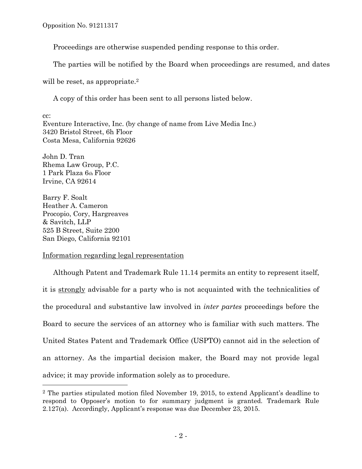Opposition No. 91211317

Proceedings are otherwise suspended pending response to this order.

The parties will be notified by the Board when proceedings are resumed, and dates

will be reset, as appropriate.<sup>2</sup>

A copy of this order has been sent to all persons listed below.

cc: Eventure Interactive, Inc. (by change of name from Live Media Inc.) 3420 Bristol Street, 6h Floor Costa Mesa, California 92626

John D. Tran Rhema Law Group, P.C. 1 Park Plaza 6th Floor Irvine, CA 92614

Barry F. Soalt Heather A. Cameron Procopio, Cory, Hargreaves & Savitch, LLP 525 B Street, Suite 2200 San Diego, California 92101

 $\overline{a}$ 

## Information regarding legal representation

Although Patent and Trademark Rule 11.14 permits an entity to represent itself, it is strongly advisable for a party who is not acquainted with the technicalities of the procedural and substantive law involved in *inter partes* proceedings before the Board to secure the services of an attorney who is familiar with such matters. The United States Patent and Trademark Office (USPTO) cannot aid in the selection of an attorney. As the impartial decision maker, the Board may not provide legal advice; it may provide information solely as to procedure.

<sup>2</sup> The parties stipulated motion filed November 19, 2015, to extend Applicant's deadline to respond to Opposer's motion to for summary judgment is granted. Trademark Rule 2.127(a). Accordingly, Applicant's response was due December 23, 2015.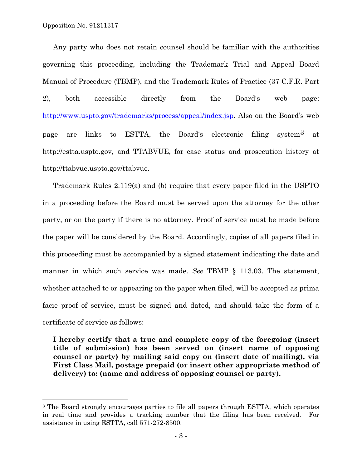Opposition No. 91211317

l

Any party who does not retain counsel should be familiar with the authorities governing this proceeding, including the Trademark Trial and Appeal Board Manual of Procedure (TBMP), and the Trademark Rules of Practice (37 C.F.R. Part 2), both accessible directly from the Board's web page: http://www.uspto.gov/trademarks/process/appeal/index.jsp. Also on the Board's web page are links to ESTTA, the Board's electronic filing system3 at http://estta.uspto.gov, and TTABVUE, for case status and prosecution history at http://ttabvue.uspto.gov/ttabvue.

Trademark Rules 2.119(a) and (b) require that every paper filed in the USPTO in a proceeding before the Board must be served upon the attorney for the other party, or on the party if there is no attorney. Proof of service must be made before the paper will be considered by the Board. Accordingly, copies of all papers filed in this proceeding must be accompanied by a signed statement indicating the date and manner in which such service was made. *See* TBMP § 113.03. The statement, whether attached to or appearing on the paper when filed, will be accepted as prima facie proof of service, must be signed and dated, and should take the form of a certificate of service as follows:

**I hereby certify that a true and complete copy of the foregoing (insert title of submission) has been served on (insert name of opposing counsel or party) by mailing said copy on (insert date of mailing), via First Class Mail, postage prepaid (or insert other appropriate method of delivery) to: (name and address of opposing counsel or party).** 

<sup>&</sup>lt;sup>3</sup> The Board strongly encourages parties to file all papers through ESTTA, which operates in real time and provides a tracking number that the filing has been received. For assistance in using ESTTA, call 571-272-8500.